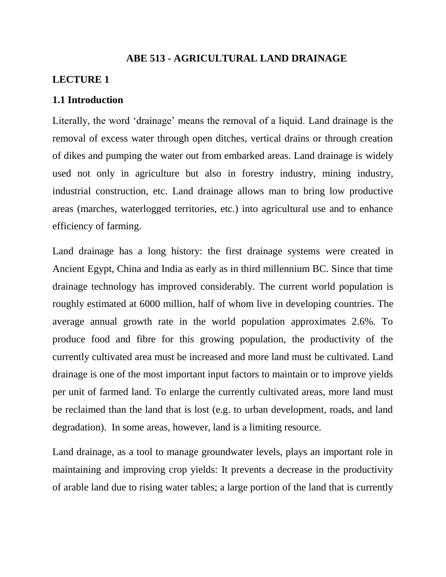## **ABE 513 - AGRICULTURAL LAND DRAINAGE**

## **LECTURE 1**

### **1.1 Introduction**

Literally, the word 'drainage' means the removal of a liquid. Land drainage is the removal of excess water through open ditches, vertical drains or through creation of dikes and pumping the water out from embarked areas. Land drainage is widely used not only in agriculture but also in forestry industry, mining industry, industrial construction, etc. Land drainage allows man to bring low productive areas (marches, waterlogged territories, etc.) into agricultural use and to enhance efficiency of farming.

Land drainage has a long history: the first drainage systems were created in Ancient Egypt, China and India as early as in third millennium BC. Since that time drainage technology has improved considerably. The current world population is roughly estimated at 6000 million, half of whom live in developing countries. The average annual growth rate in the world population approximates 2.6%. To produce food and fibre for this growing population, the productivity of the currently cultivated area must be increased and more land must be cultivated. Land drainage is one of the most important input factors to maintain or to improve yields per unit of farmed land. To enlarge the currently cultivated areas, more land must be reclaimed than the land that is lost (e.g. to urban development, roads, and land degradation). In some areas, however, land is a limiting resource.

Land drainage, as a tool to manage groundwater levels, plays an important role in maintaining and improving crop yields: It prevents a decrease in the productivity of arable land due to rising water tables; a large portion of the land that is currently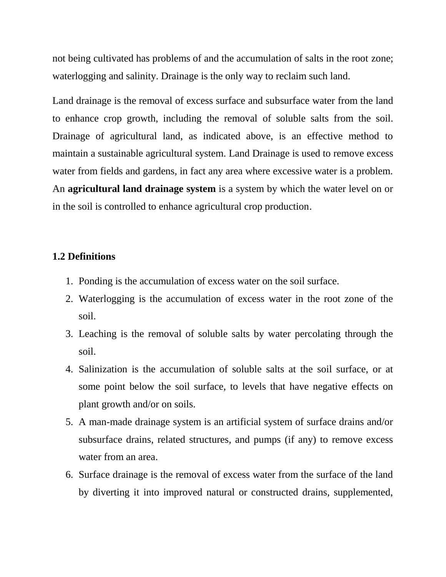not being cultivated has problems of and the accumulation of salts in the root zone; waterlogging and salinity. Drainage is the only way to reclaim such land.

Land drainage is the removal of excess surface and subsurface water from the land to enhance crop growth, including the removal of soluble salts from the soil. Drainage of agricultural land, as indicated above, is an effective method to maintain a sustainable agricultural system. Land Drainage is used to remove excess water from fields and gardens, in fact any area where excessive water is a problem. An **agricultural land drainage system** is a system by which the water level on or in the soil is controlled to enhance agricultural crop production.

#### **1.2 Definitions**

- 1. Ponding is the accumulation of excess water on the soil surface.
- 2. Waterlogging is the accumulation of excess water in the root zone of the soil.
- 3. Leaching is the removal of soluble salts by water percolating through the soil.
- 4. Salinization is the accumulation of soluble salts at the soil surface, or at some point below the soil surface, to levels that have negative effects on plant growth and/or on soils.
- 5. A man-made drainage system is an artificial system of surface drains and/or subsurface drains, related structures, and pumps (if any) to remove excess water from an area.
- 6. Surface drainage is the removal of excess water from the surface of the land by diverting it into improved natural or constructed drains, supplemented,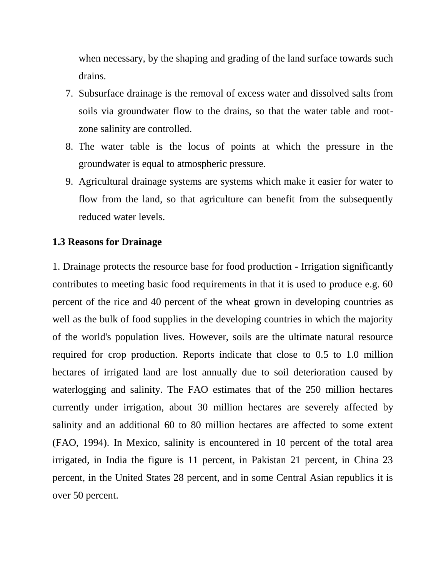when necessary, by the shaping and grading of the land surface towards such drains.

- 7. Subsurface drainage is the removal of excess water and dissolved salts from soils via groundwater flow to the drains, so that the water table and rootzone salinity are controlled.
- 8. The water table is the locus of points at which the pressure in the groundwater is equal to atmospheric pressure.
- 9. Agricultural drainage systems are systems which make it easier for water to flow from the land, so that agriculture can benefit from the subsequently reduced water levels.

## **1.3 Reasons for Drainage**

1. Drainage protects the resource base for food production - Irrigation significantly contributes to meeting basic food requirements in that it is used to produce e.g. 60 percent of the rice and 40 percent of the wheat grown in developing countries as well as the bulk of food supplies in the developing countries in which the majority of the world's population lives. However, soils are the ultimate natural resource required for crop production. Reports indicate that close to 0.5 to 1.0 million hectares of irrigated land are lost annually due to soil deterioration caused by waterlogging and salinity. The FAO estimates that of the 250 million hectares currently under irrigation, about 30 million hectares are severely affected by salinity and an additional 60 to 80 million hectares are affected to some extent (FAO, 1994). In Mexico, salinity is encountered in 10 percent of the total area irrigated, in India the figure is 11 percent, in Pakistan 21 percent, in China 23 percent, in the United States 28 percent, and in some Central Asian republics it is over 50 percent.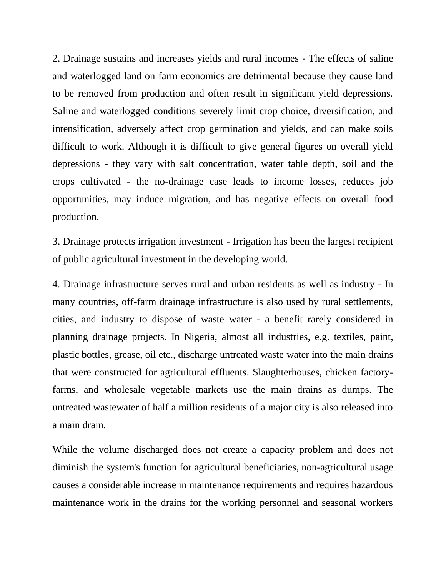2. Drainage sustains and increases yields and rural incomes - The effects of saline and waterlogged land on farm economics are detrimental because they cause land to be removed from production and often result in significant yield depressions. Saline and waterlogged conditions severely limit crop choice, diversification, and intensification, adversely affect crop germination and yields, and can make soils difficult to work. Although it is difficult to give general figures on overall yield depressions - they vary with salt concentration, water table depth, soil and the crops cultivated - the no-drainage case leads to income losses, reduces job opportunities, may induce migration, and has negative effects on overall food production.

3. Drainage protects irrigation investment - Irrigation has been the largest recipient of public agricultural investment in the developing world.

4. Drainage infrastructure serves rural and urban residents as well as industry - In many countries, off-farm drainage infrastructure is also used by rural settlements, cities, and industry to dispose of waste water - a benefit rarely considered in planning drainage projects. In Nigeria, almost all industries, e.g. textiles, paint, plastic bottles, grease, oil etc., discharge untreated waste water into the main drains that were constructed for agricultural effluents. Slaughterhouses, chicken factoryfarms, and wholesale vegetable markets use the main drains as dumps. The untreated wastewater of half a million residents of a major city is also released into a main drain.

While the volume discharged does not create a capacity problem and does not diminish the system's function for agricultural beneficiaries, non-agricultural usage causes a considerable increase in maintenance requirements and requires hazardous maintenance work in the drains for the working personnel and seasonal workers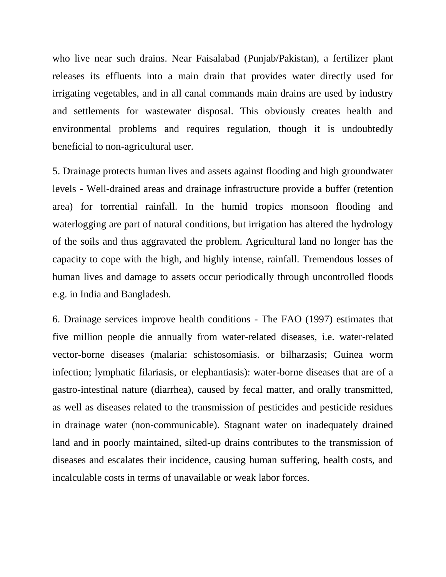who live near such drains. Near Faisalabad (Punjab/Pakistan), a fertilizer plant releases its effluents into a main drain that provides water directly used for irrigating vegetables, and in all canal commands main drains are used by industry and settlements for wastewater disposal. This obviously creates health and environmental problems and requires regulation, though it is undoubtedly beneficial to non-agricultural user.

5. Drainage protects human lives and assets against flooding and high groundwater levels - Well-drained areas and drainage infrastructure provide a buffer (retention area) for torrential rainfall. In the humid tropics monsoon flooding and waterlogging are part of natural conditions, but irrigation has altered the hydrology of the soils and thus aggravated the problem. Agricultural land no longer has the capacity to cope with the high, and highly intense, rainfall. Tremendous losses of human lives and damage to assets occur periodically through uncontrolled floods e.g. in India and Bangladesh.

6. Drainage services improve health conditions - The FAO (1997) estimates that five million people die annually from water-related diseases, i.e. water-related vector-borne diseases (malaria: schistosomiasis. or bilharzasis; Guinea worm infection; lymphatic filariasis, or elephantiasis): water-borne diseases that are of a gastro-intestinal nature (diarrhea), caused by fecal matter, and orally transmitted, as well as diseases related to the transmission of pesticides and pesticide residues in drainage water (non-communicable). Stagnant water on inadequately drained land and in poorly maintained, silted-up drains contributes to the transmission of diseases and escalates their incidence, causing human suffering, health costs, and incalculable costs in terms of unavailable or weak labor forces.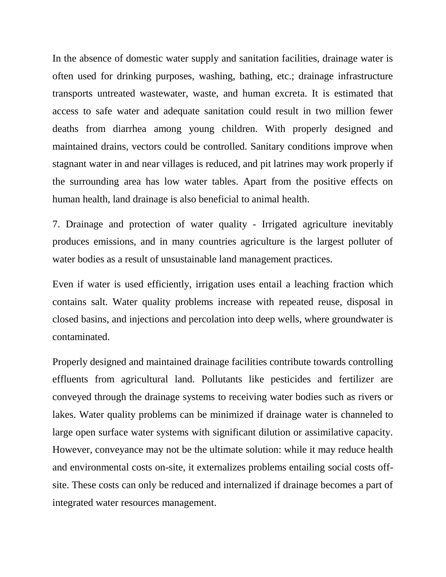In the absence of domestic water supply and sanitation facilities, drainage water is often used for drinking purposes, washing, bathing, etc.; drainage infrastructure transports untreated wastewater, waste, and human excreta. It is estimated that access to safe water and adequate sanitation could result in two million fewer deaths from diarrhea among young children. With properly designed and maintained drains, vectors could be controlled. Sanitary conditions improve when stagnant water in and near villages is reduced, and pit latrines may work properly if the surrounding area has low water tables. Apart from the positive effects on human health, land drainage is also beneficial to animal health.

7. Drainage and protection of water quality - Irrigated agriculture inevitably produces emissions, and in many countries agriculture is the largest polluter of water bodies as a result of unsustainable land management practices.

Even if water is used efficiently, irrigation uses entail a leaching fraction which contains salt. Water quality problems increase with repeated reuse, disposal in closed basins, and injections and percolation into deep wells, where groundwater is contaminated.

Properly designed and maintained drainage facilities contribute towards controlling effluents from agricultural land. Pollutants like pesticides and fertilizer are conveyed through the drainage systems to receiving water bodies such as rivers or lakes. Water quality problems can be minimized if drainage water is channeled to large open surface water systems with significant dilution or assimilative capacity. However, conveyance may not be the ultimate solution: while it may reduce health and environmental costs on-site, it externalizes problems entailing social costs offsite. These costs can only be reduced and internalized if drainage becomes a part of integrated water resources management.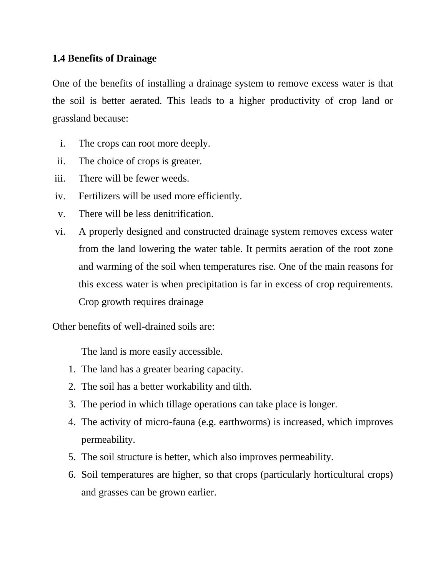# **1.4 Benefits of Drainage**

One of the benefits of installing a drainage system to remove excess water is that the soil is better aerated. This leads to a higher productivity of crop land or grassland because:

- i. The crops can root more deeply.
- ii. The choice of crops is greater.
- iii. There will be fewer weeds.
- iv. Fertilizers will be used more efficiently.
- v. There will be less denitrification.
- vi. A properly designed and constructed drainage system removes excess water from the land lowering the water table. It permits aeration of the root zone and warming of the soil when temperatures rise. One of the main reasons for this excess water is when precipitation is far in excess of crop requirements. Crop growth requires drainage

Other benefits of well-drained soils are:

The land is more easily accessible.

- 1. The land has a greater bearing capacity.
- 2. The soil has a better workability and tilth.
- 3. The period in which tillage operations can take place is longer.
- 4. The activity of micro-fauna (e.g. earthworms) is increased, which improves permeability.
- 5. The soil structure is better, which also improves permeability.
- 6. Soil temperatures are higher, so that crops (particularly horticultural crops) and grasses can be grown earlier.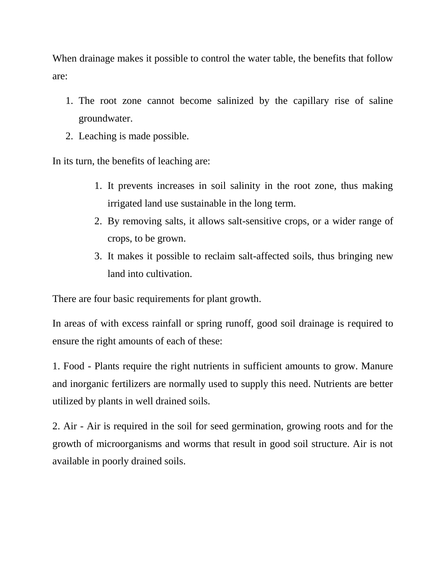When drainage makes it possible to control the water table, the benefits that follow are:

- 1. The root zone cannot become salinized by the capillary rise of saline groundwater.
- 2. Leaching is made possible.

In its turn, the benefits of leaching are:

- 1. It prevents increases in soil salinity in the root zone, thus making irrigated land use sustainable in the long term.
- 2. By removing salts, it allows salt-sensitive crops, or a wider range of crops, to be grown.
- 3. It makes it possible to reclaim salt-affected soils, thus bringing new land into cultivation.

There are four basic requirements for plant growth.

In areas of with excess rainfall or spring runoff, good soil drainage is required to ensure the right amounts of each of these:

1. Food - Plants require the right nutrients in sufficient amounts to grow. Manure and inorganic fertilizers are normally used to supply this need. Nutrients are better utilized by plants in well drained soils.

2. Air - Air is required in the soil for seed germination, growing roots and for the growth of microorganisms and worms that result in good soil structure. Air is not available in poorly drained soils.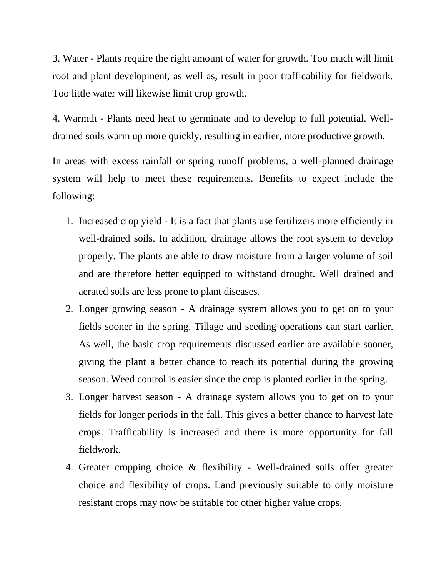3. Water - Plants require the right amount of water for growth. Too much will limit root and plant development, as well as, result in poor trafficability for fieldwork. Too little water will likewise limit crop growth.

4. Warmth - Plants need heat to germinate and to develop to full potential. Welldrained soils warm up more quickly, resulting in earlier, more productive growth.

In areas with excess rainfall or spring runoff problems, a well-planned drainage system will help to meet these requirements. Benefits to expect include the following:

- 1. Increased crop yield It is a fact that plants use fertilizers more efficiently in well-drained soils. In addition, drainage allows the root system to develop properly. The plants are able to draw moisture from a larger volume of soil and are therefore better equipped to withstand drought. Well drained and aerated soils are less prone to plant diseases.
- 2. Longer growing season A drainage system allows you to get on to your fields sooner in the spring. Tillage and seeding operations can start earlier. As well, the basic crop requirements discussed earlier are available sooner, giving the plant a better chance to reach its potential during the growing season. Weed control is easier since the crop is planted earlier in the spring.
- 3. Longer harvest season A drainage system allows you to get on to your fields for longer periods in the fall. This gives a better chance to harvest late crops. Trafficability is increased and there is more opportunity for fall fieldwork.
- 4. Greater cropping choice & flexibility Well-drained soils offer greater choice and flexibility of crops. Land previously suitable to only moisture resistant crops may now be suitable for other higher value crops.